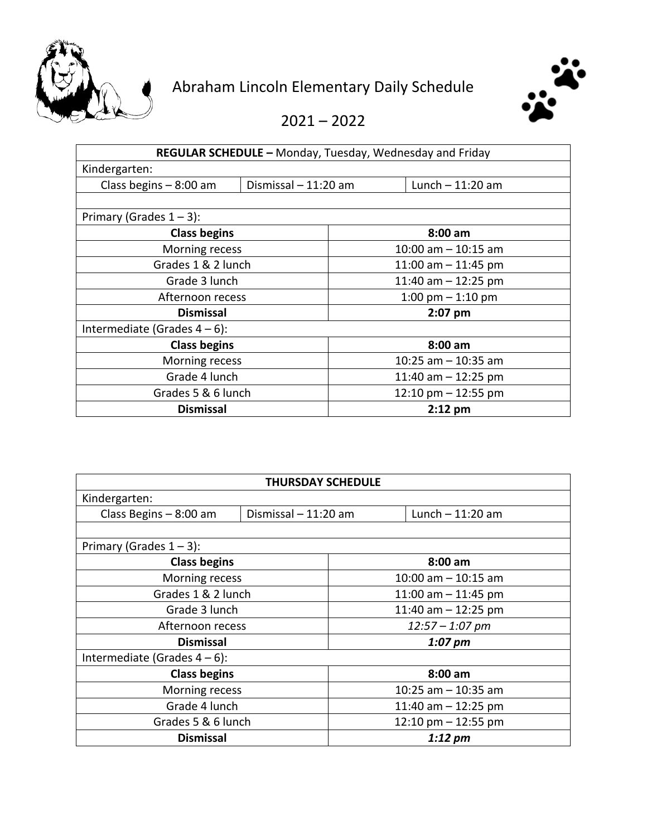



2021 – 2022

| REGULAR SCHEDULE - Monday, Tuesday, Wednesday and Friday |                      |                         |  |  |
|----------------------------------------------------------|----------------------|-------------------------|--|--|
| Kindergarten:                                            |                      |                         |  |  |
| Class begins - 8:00 am                                   | Dismissal - 11:20 am | Lunch $-11:20$ am       |  |  |
|                                                          |                      |                         |  |  |
| Primary (Grades $1 - 3$ ):                               |                      |                         |  |  |
| <b>Class begins</b>                                      |                      | $8:00$ am               |  |  |
| Morning recess                                           |                      | $10:00$ am $- 10:15$ am |  |  |
| Grades 1 & 2 lunch                                       |                      | 11:00 am $-$ 11:45 pm   |  |  |
| Grade 3 lunch                                            |                      | 11:40 am $-$ 12:25 pm   |  |  |
| Afternoon recess                                         |                      | 1:00 pm $-$ 1:10 pm     |  |  |
| <b>Dismissal</b>                                         |                      | $2:07$ pm               |  |  |
| Intermediate (Grades $4-6$ ):                            |                      |                         |  |  |
| <b>Class begins</b>                                      |                      | $8:00$ am               |  |  |
| Morning recess                                           |                      | 10:25 am $-$ 10:35 am   |  |  |
| Grade 4 lunch                                            |                      | 11:40 am $-$ 12:25 pm   |  |  |
| Grades 5 & 6 lunch                                       |                      | 12:10 pm $-$ 12:55 pm   |  |  |
| <b>Dismissal</b>                                         |                      | $2:12$ pm               |  |  |

| <b>THURSDAY SCHEDULE</b>      |                      |                         |                   |  |
|-------------------------------|----------------------|-------------------------|-------------------|--|
| Kindergarten:                 |                      |                         |                   |  |
| Class Begins - 8:00 am        | Dismissal - 11:20 am |                         | Lunch $-11:20$ am |  |
|                               |                      |                         |                   |  |
| Primary (Grades $1 - 3$ ):    |                      |                         |                   |  |
| <b>Class begins</b>           |                      | $8:00$ am               |                   |  |
| Morning recess                |                      | $10:00$ am $- 10:15$ am |                   |  |
| Grades 1 & 2 lunch            |                      | 11:00 am $-$ 11:45 pm   |                   |  |
| Grade 3 lunch                 |                      | 11:40 am $-$ 12:25 pm   |                   |  |
| Afternoon recess              |                      | $12:57 - 1:07$ pm       |                   |  |
| <b>Dismissal</b>              |                      | $1:07$ pm               |                   |  |
| Intermediate (Grades $4-6$ ): |                      |                         |                   |  |
| <b>Class begins</b>           |                      | $8:00$ am               |                   |  |
| Morning recess                |                      | 10:25 am $-$ 10:35 am   |                   |  |
| Grade 4 lunch                 |                      | 11:40 am $-$ 12:25 pm   |                   |  |
| Grades 5 & 6 lunch            |                      | 12:10 pm $-$ 12:55 pm   |                   |  |
| <b>Dismissal</b>              |                      | 1:12~pm                 |                   |  |